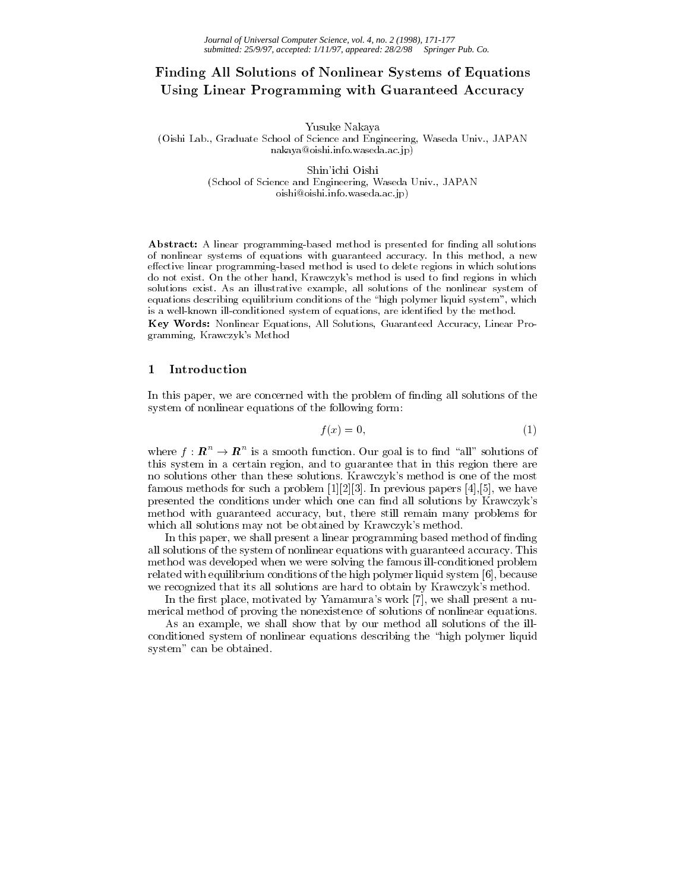# Finding All Solutions of Nonlinear Systems of Equations Using Linear Programming with Guaranteed Accuracy

Yusuke Nakaya (Oishi Lab., Graduate School of Science and Engineering, Waseda Univ., JAPAN nakaya@oishi.info.waseda.ac.jp)

> Shin'ichi Oishi (School of Science and Engineering, Waseda Univ., JAPAN oishi@oishi.info.waseda.ac.jp)

Abstract: A linear programming-based method is presented for finding all solutions of nonlinear systems of equations with guaranteed accuracy. In this method, a new effective linear programming-based method is used to delete regions in which solutions do not exist. On the other hand, Krawczyk's method is used to find regions in which solutions exist. As an illustrative example, all solutions of the nonlinear system of equations describing equilibrium conditions of the "high polymer liquid system", which is a well-known ill-conditioned system of equations, are identified by the method.

Key Words: Nonlinear Equations, All Solutions, Guaranteed Accuracy, Linear Programming, Krawczyk's Method

### 1Introduction

In this paper, we are concerned with the problem of finding all solutions of the system of nonlinear equations of the following form:

$$
f(x) = 0,\t\t(1)
$$

where  $I : \mathbb{R}^n \to \mathbb{R}^n$  is a smooth function. Our goal is to find "all" solutions of this system in a certain region, and to guarantee that in this region there are no solutions other than these solutions. Krawczyk's method is one of the most famous methods for such a problem [1][2][3]. In previous papers [4],[5], we have presented the conditions under which one can find all solutions by Krawczyk's method with guaranteed accuracy, but, there still remain many problems for which all solutions may not be obtained by Krawczyk's method.

In this paper, we shall present a linear programming based method of finding all solutions of the system of nonlinear equations with guaranteed accuracy. This method was developed when we were solving the famous ill-conditioned problem related with equilibrium conditions of the high polymer liquid system [6], because we recognized that its all solutions are hard to obtain by Krawczyk's method.

In the first place, motivated by Yamamura's work  $[7]$ , we shall present a numerical method of proving the nonexistence of solutions of nonlinear equations.

As an example, we shall show that by our method all solutions of the illconditioned system of nonlinear equations describing the "high polymer liquid system" can be obtained.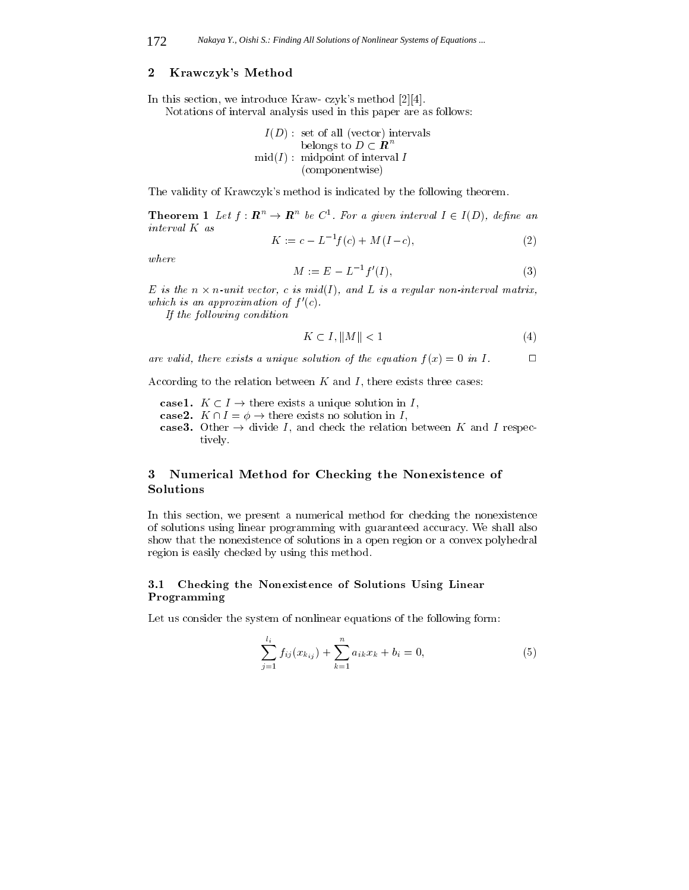### Krawczyk's Method

In this section, we introduce Kraw- czyk's method [2][4]. Notations of interval analysis used in this paper are as follows:

$$
I(D):
$$
 set of all (vector) intervals  
belongs to  $D \subset \mathbb{R}^n$   
mid $(I):$  midpoint of interval  $I$   
(componentwise)

The validity of Krawczyk's method is indicated by the following theorem.

**Theorem 1** Let  $I: \mathbb{R}^n \to \mathbb{R}^n$  be  $C^*$ . For a given interval  $I \in I(D)$ , define an  $\cdots$   $\cdots$   $\cdots$   $\cdots$ 

$$
K := c - L^{-1}f(c) + M(I - c),
$$
\n(2)

where

$$
M := E - L^{-1} f'(I), \tag{3}
$$

 $E$  is the n  $\wedge$  n-unit vector, c is midthereon, and  $E$  is a requirer non-interval matrix, which is an approximation of <sup>f</sup> 0(c).

If the following condition

$$
K \subset I, \|M\| < 1\tag{4}
$$

are valid, there exists a unique solution of the equation  $f(x)=0$  in I,  $2\equiv 2$ 

According to the relation between  $K$  and  $I$ , there exists three cases:

case 1. I is the existence of the solution in I and the I see that  $\mathbf{r}_1$  , where  $\mathbf{r}_2$ 

- case 2. H  $\sim$  . The exists no solution is the existence in I , there exists no solution is in I , then if  $\sim$
- cases. Other ! divide I and the relation will relate the second in the relation to tively.

### 3 Numerical Method for Checking the Nonexistence of Solutions

In this section, we present a numerical method for checking the nonexistence of solutions using linear programming with guaranteed accuracy. We shall also show that the nonexistence of solutions in a open region or a convex polyhedral region is easily checked by using this method.

### 3.1 Checking the Nonexistence of Solutions Using Ministers Programming

Let us consider the system of nonlinear equations of the following form:

$$
\sum_{j=1}^{l_i} f_{ij}(x_{k_{ij}}) + \sum_{k=1}^{n} a_{ik} x_k + b_i = 0,
$$
\n(5)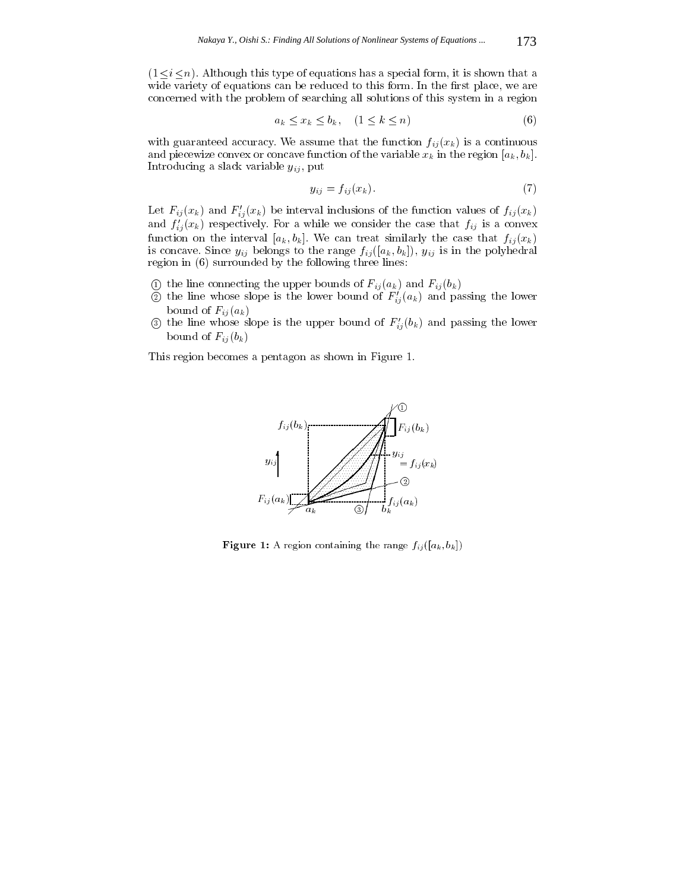$(1 \le i \le n)$ . Although this type of equations has a special form, it is shown that a wide variety of equations can be reduced to this form. In the first place, we are concerned with the problem of searching all solutions of this system in a region

$$
a_k \le x_k \le b_k, \quad (1 \le k \le n) \tag{6}
$$

with guaranteed accuracy. We assume that the function  $f_{ij}(x_k)$  is a continuous and piecewize convex or concave function of the variable  $x_k$  in the region  $[a_k, b_k]$ . Introducing a slack variable  $y_{ij}$ , put

$$
y_{ij} = f_{ij}(x_k). \tag{7}
$$

Let  $F_{ij}(x_k)$  and  $F'_{ij}(x_k)$  be interval inclusions of the function values of  $f_{ij}(x_k)$ and  $f'_{ij}(x_k)$  respectively. For a while we consider the case that  $f_{ij}$  is a convex function on the interval  $[a_k, b_k]$ . We can treat similarly the case that  $f_{ij}(x_k)$ is concave. Since  $y_{ij}$  belongs to the range  $f_{ij}([a_k, b_k])$ ,  $y_{ij}$  is in the polyhedral region in (6) surrounded by the following three lines:

- $\odot$  the line connecting the upper bounds of  $F_{ij} (a_k)$  and  $F_{ij} (b_k)$
- $\circled{2}$  the line whose slope is the lower bound of  $F'_{ij}(a_k)$  and passing the lower bound of  $F_{ij}(a_k)$
- 3 the line whose slope is the upper bound of  $F'_{ij}(b_k)$  and passing the lower bound of  $F_{ij}(b_k)$

This region becomes a pentagon as shown in Figure 1.



**Figure 1:** A region containing the range  $f_{ij}([a_k, b_k])$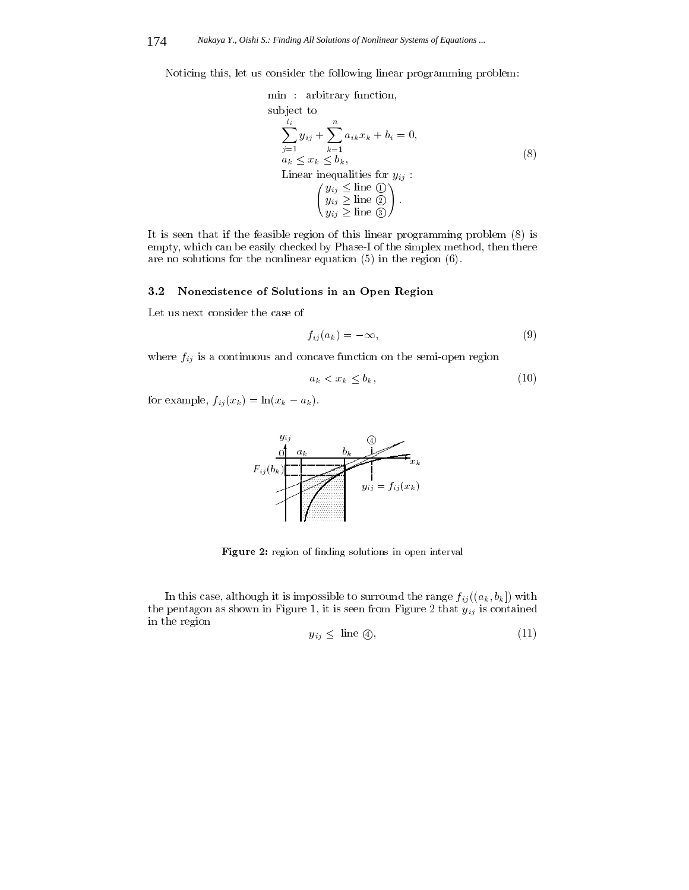Noticing this, let us consider the following linear programming problem:

min : arbitrary function,  
\nsubject to  
\n
$$
\sum_{j=1}^{l_i} y_{ij} + \sum_{k=1}^n a_{ik} x_k + b_i = 0,
$$
\n
$$
a_k \le x_k \le b_k,
$$
\nLinear inequalities for  $y_{ij}$ :  
\n
$$
\begin{pmatrix} y_{ij} \le \text{line } \textcircled{1} \\ y_{ij} \ge \text{line } \textcircled{2} \end{pmatrix}.
$$
\n(8)

It is seen that if the feasible region of this linear programming problem (8) is empty, which can be easily checked by Phase-I of the simplex method, then there are no solutions for the nonlinear equation (5) in the region (6).

#### 3.2Nonexistence of Solutions in an Open Region

Let us next consider the case of

$$
f_{ij}(a_k) = -\infty,\t\t(9)
$$

where  $f_{ij}$  is a continuous and concave function on the semi-open region

$$
a_k < x_k \le b_k,\tag{10}
$$

for example,  $f_{ij}(x_k) = \ln(x_k - a_k)$ .



Figure 2: region of finding solutions in open interval

In this case, although it is impossible to surround the range  $f_{ij}((a_k, b_k])$  with the pentagon as shown in Figure 1, it is seen from Figure 2 that  $y_{ij}$  is contained in the region

$$
y_{ij} \leq \text{ line } \textcircled{4}, \tag{11}
$$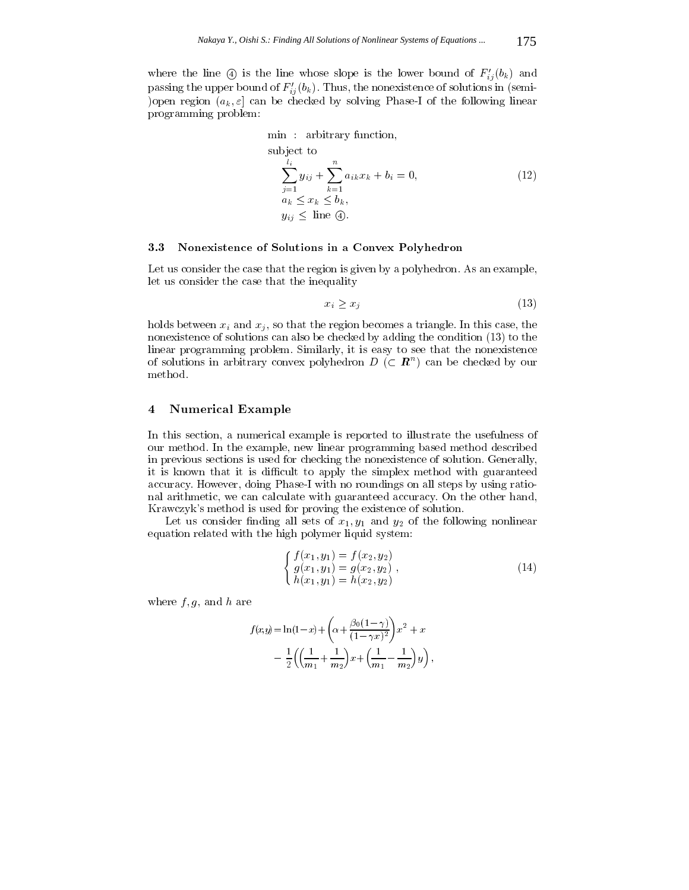where the line  $\circled{4}$  is the line whose slope is the lower bound of  $F'_{ij}(b_k)$  and passing the upper bound of  $F'_{ij}(b_k)$ . Thus, the nonexistence of solutions in (semi-)open region  $(a_k, \varepsilon]$  can be checked by solving Phase-I of the following linear programming problem:

min : arbitrary function,  
\nsubject to  
\n
$$
\sum_{j=1}^{l_i} y_{ij} + \sum_{k=1}^n a_{ik} x_k + b_i = 0,
$$
\n
$$
a_k \le x_k \le b_k,
$$
\n
$$
y_{ij} \le \text{line } Q.
$$
\n(12)

#### 3.3Nonexistence of Solutions in <sup>a</sup> Convex Polyhedron

Let us consider the case that the region is given by a polyhedron. As an example, let us consider the case that the inequality

$$
x_i \ge x_j \tag{13}
$$

holds between  $x_i$  and  $x_j$ , so that the region becomes a triangle. In this case, the nonexistence of solutions can also be checked by adding the condition (13) to the linear programming problem. Similarly, it is easy to see that the nonexistence of solutions in arbitrary convex polyhedron  $D$  (C  $R^{\sim}$ ) can be checked by our method.

#### 4Numerical Example

In this section, a numerical example is reported to illustrate the usefulness of our method. In the example, new linear programming based method described in previous sections is used for checking the nonexistence of solution. Generally, it is known that it is difficult to apply the simplex method with guaranteed accuracy. However, doing Phase-I with no roundings on all steps by using rational arithmetic, we can calculate with guaranteed accuracy. On the other hand, Krawczyk's method is used for proving the existence of solution.

Let us consider finding all sets of  $x_1, y_1$  and  $y_2$  of the following nonlinear equation related with the high polymer liquid system:

$$
\begin{cases}\nf(x_1, y_1) = f(x_2, y_2) \\
g(x_1, y_1) = g(x_2, y_2) \\
h(x_1, y_1) = h(x_2, y_2)\n\end{cases}
$$
\n(14)

where  $f, g$ , and h are

$$
f(x,y) = \ln(1-x) + \left(\alpha + \frac{\beta_0(1-\gamma)}{(1-\gamma x)^2}\right)x^2 + x
$$
  
- 
$$
\frac{1}{2}\left(\left(\frac{1}{m_1} + \frac{1}{m_2}\right)x + \left(\frac{1}{m_1} - \frac{1}{m_2}\right)y\right),
$$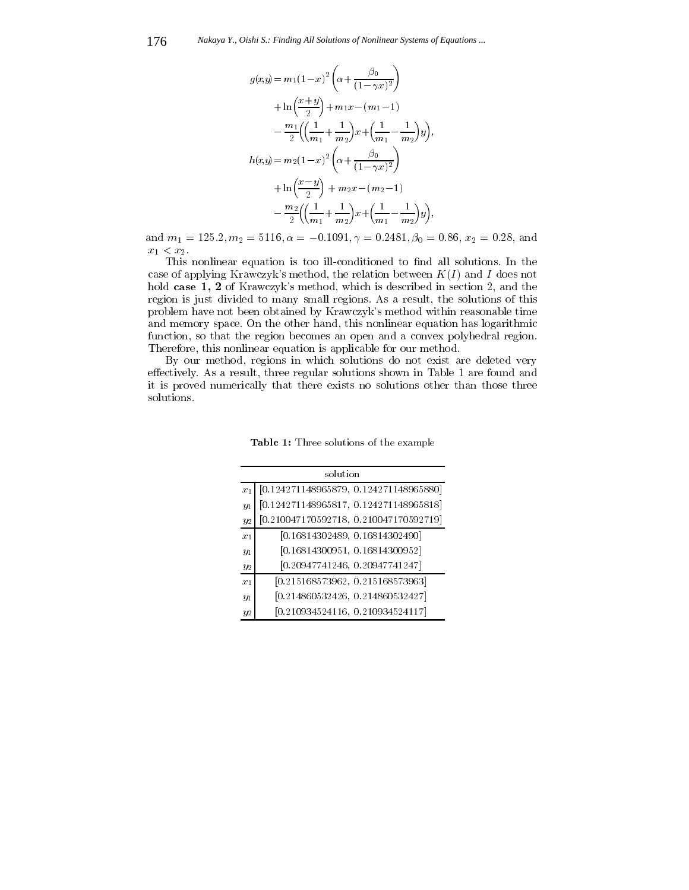176 *Nakaya Y., Oishi S.: Finding All Solutions of Nonlinear Systems of Equations ...*

$$
g(x,y) = m_1(1-x)^2 \left(\alpha + \frac{\beta_0}{(1-\gamma x)^2}\right)
$$
  
+  $\ln\left(\frac{x+y}{2}\right) + m_1 x - (m_1 - 1)$   
-  $\frac{m_1}{2} \left(\left(\frac{1}{m_1} + \frac{1}{m_2}\right) x + \left(\frac{1}{m_1} - \frac{1}{m_2}\right) y\right),$   
 $h(x,y) = m_2 (1-x)^2 \left(\alpha + \frac{\beta_0}{(1-\gamma x)^2}\right)$   
+  $\ln\left(\frac{x-y}{2}\right) + m_2 x - (m_2 - 1)$   
-  $\frac{m_2}{2} \left(\left(\frac{1}{m_1} + \frac{1}{m_2}\right) x + \left(\frac{1}{m_1} - \frac{1}{m_2}\right) y\right),$ 

and  $m_1 = 125.2, m_2 = 5116, \alpha = -0.1091, \gamma = 0.2481, \beta_0 = 0.86, x_2 = 0.28, \text{ and }$  $x_1 < x_2$ .

This nonlinear equation is too ill-conditioned to find all solutions. In the case of applying Krawczyk's method, the relation between  $K(I)$  and I does not hold case 1, 2 of Krawczyk's method, which is described in section 2, and the region is just divided to many small regions. As a result, the solutions of this problem have not been obtained by Krawczyk's method within reasonable time and memory space. On the other hand, this nonlinear equation has logarithmic function, so that the region becomes an open and a convex polyhedral region. Therefore, this nonlinear equation is applicable for our method.

By our method, regions in which solutions do not exist are deleted very effectively. As a result, three regular solutions shown in Table 1 are found and it is proved numerically that there exists no solutions other than those three solutions.

| solution |                                          |
|----------|------------------------------------------|
| $x_1$    | $[0.124271148965879, 0.124271148965880]$ |
| $y_1$    | $[0.124271148965817, 0.124271148965818]$ |
| $y_2$    | $[0.210047170592718, 0.210047170592719]$ |
| $x_1$    | [0.16814302489, 0.16814302490]           |
| $y_1$    | [0.16814300951, 0.16814300952]           |
| $y_2$    | [0.20947741246, 0.20947741247]           |
| $x_1$    | [0.215168573962, 0.215168573963]         |
| $y_1$    | [0.214860532426, 0.214860532427]         |
| $^{y_2}$ | [0.210934524116, 0.210934524117]         |

Table 1: Three solutions of the example